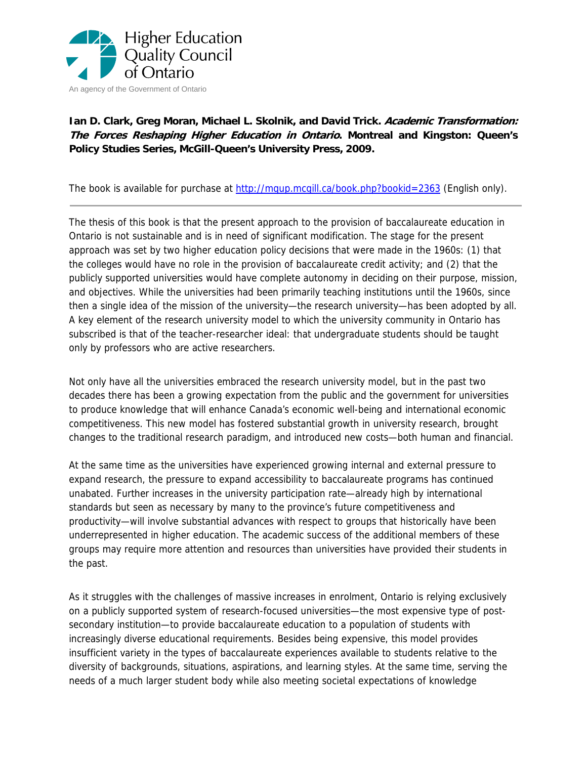

## **Ian D. Clark, Greg Moran, Michael L. Skolnik, and David Trick. Academic Transformation: The Forces Reshaping Higher Education in Ontario. Montreal and Kingston: Queen's Policy Studies Series, McGill-Queen's University Press, 2009.**

The book is available for purchase at http://mqup.mcgill.ca/book.php?bookid=2363 (English only).

The thesis of this book is that the present approach to the provision of baccalaureate education in Ontario is not sustainable and is in need of significant modification. The stage for the present approach was set by two higher education policy decisions that were made in the 1960s: (1) that the colleges would have no role in the provision of baccalaureate credit activity; and (2) that the publicly supported universities would have complete autonomy in deciding on their purpose, mission, and objectives. While the universities had been primarily teaching institutions until the 1960s, since then a single idea of the mission of the university—the research university—has been adopted by all. A key element of the research university model to which the university community in Ontario has subscribed is that of the teacher-researcher ideal: that undergraduate students should be taught only by professors who are active researchers.

Not only have all the universities embraced the research university model, but in the past two decades there has been a growing expectation from the public and the government for universities to produce knowledge that will enhance Canada's economic well-being and international economic competitiveness. This new model has fostered substantial growth in university research, brought changes to the traditional research paradigm, and introduced new costs—both human and financial.

At the same time as the universities have experienced growing internal and external pressure to expand research, the pressure to expand accessibility to baccalaureate programs has continued unabated. Further increases in the university participation rate—already high by international standards but seen as necessary by many to the province's future competitiveness and productivity—will involve substantial advances with respect to groups that historically have been underrepresented in higher education. The academic success of the additional members of these groups may require more attention and resources than universities have provided their students in the past.

As it struggles with the challenges of massive increases in enrolment, Ontario is relying exclusively on a publicly supported system of research-focused universities—the most expensive type of postsecondary institution—to provide baccalaureate education to a population of students with increasingly diverse educational requirements. Besides being expensive, this model provides insufficient variety in the types of baccalaureate experiences available to students relative to the diversity of backgrounds, situations, aspirations, and learning styles. At the same time, serving the needs of a much larger student body while also meeting societal expectations of knowledge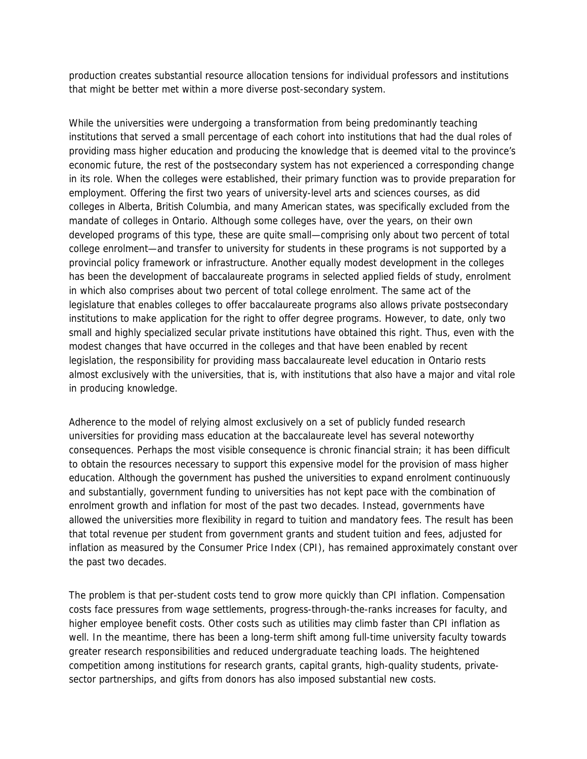production creates substantial resource allocation tensions for individual professors and institutions that might be better met within a more diverse post-secondary system.

While the universities were undergoing a transformation from being predominantly teaching institutions that served a small percentage of each cohort into institutions that had the dual roles of providing mass higher education and producing the knowledge that is deemed vital to the province's economic future, the rest of the postsecondary system has not experienced a corresponding change in its role. When the colleges were established, their primary function was to provide preparation for employment. Offering the first two years of university-level arts and sciences courses, as did colleges in Alberta, British Columbia, and many American states, was specifically excluded from the mandate of colleges in Ontario. Although some colleges have, over the years, on their own developed programs of this type, these are quite small—comprising only about two percent of total college enrolment—and transfer to university for students in these programs is not supported by a provincial policy framework or infrastructure. Another equally modest development in the colleges has been the development of baccalaureate programs in selected applied fields of study, enrolment in which also comprises about two percent of total college enrolment. The same act of the legislature that enables colleges to offer baccalaureate programs also allows private postsecondary institutions to make application for the right to offer degree programs. However, to date, only two small and highly specialized secular private institutions have obtained this right. Thus, even with the modest changes that have occurred in the colleges and that have been enabled by recent legislation, the responsibility for providing mass baccalaureate level education in Ontario rests almost exclusively with the universities, that is, with institutions that also have a major and vital role in producing knowledge.

Adherence to the model of relying almost exclusively on a set of publicly funded research universities for providing mass education at the baccalaureate level has several noteworthy consequences. Perhaps the most visible consequence is chronic financial strain; it has been difficult to obtain the resources necessary to support this expensive model for the provision of mass higher education. Although the government has pushed the universities to expand enrolment continuously and substantially, government funding to universities has not kept pace with the combination of enrolment growth and inflation for most of the past two decades. Instead, governments have allowed the universities more flexibility in regard to tuition and mandatory fees. The result has been that total revenue per student from government grants and student tuition and fees, adjusted for inflation as measured by the Consumer Price Index (CPI), has remained approximately constant over the past two decades.

The problem is that per-student costs tend to grow more quickly than CPI inflation. Compensation costs face pressures from wage settlements, progress-through-the-ranks increases for faculty, and higher employee benefit costs. Other costs such as utilities may climb faster than CPI inflation as well. In the meantime, there has been a long-term shift among full-time university faculty towards greater research responsibilities and reduced undergraduate teaching loads. The heightened competition among institutions for research grants, capital grants, high-quality students, privatesector partnerships, and gifts from donors has also imposed substantial new costs.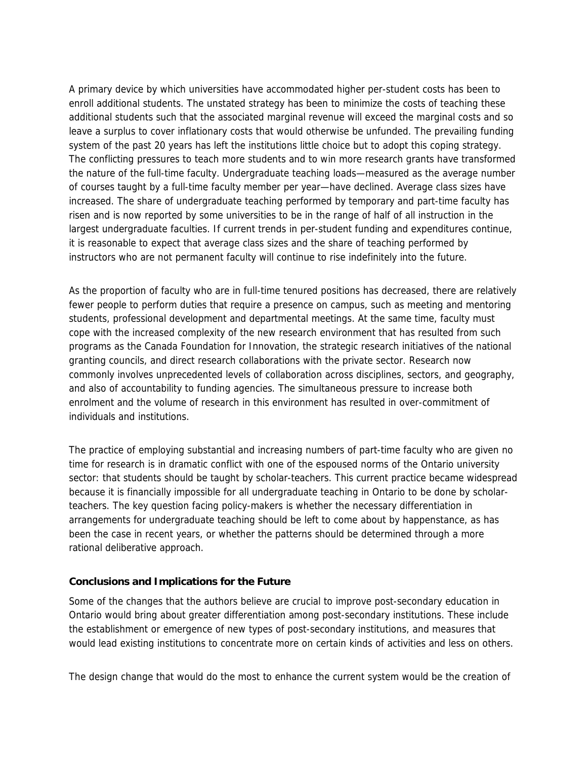A primary device by which universities have accommodated higher per-student costs has been to enroll additional students. The unstated strategy has been to minimize the costs of teaching these additional students such that the associated marginal revenue will exceed the marginal costs and so leave a surplus to cover inflationary costs that would otherwise be unfunded. The prevailing funding system of the past 20 years has left the institutions little choice but to adopt this coping strategy. The conflicting pressures to teach more students and to win more research grants have transformed the nature of the full-time faculty. Undergraduate teaching loads—measured as the average number of courses taught by a full-time faculty member per year—have declined. Average class sizes have increased. The share of undergraduate teaching performed by temporary and part-time faculty has risen and is now reported by some universities to be in the range of half of all instruction in the largest undergraduate faculties. If current trends in per-student funding and expenditures continue, it is reasonable to expect that average class sizes and the share of teaching performed by instructors who are not permanent faculty will continue to rise indefinitely into the future.

As the proportion of faculty who are in full-time tenured positions has decreased, there are relatively fewer people to perform duties that require a presence on campus, such as meeting and mentoring students, professional development and departmental meetings. At the same time, faculty must cope with the increased complexity of the new research environment that has resulted from such programs as the Canada Foundation for Innovation, the strategic research initiatives of the national granting councils, and direct research collaborations with the private sector. Research now commonly involves unprecedented levels of collaboration across disciplines, sectors, and geography, and also of accountability to funding agencies. The simultaneous pressure to increase both enrolment and the volume of research in this environment has resulted in over-commitment of individuals and institutions.

The practice of employing substantial and increasing numbers of part-time faculty who are given no time for research is in dramatic conflict with one of the espoused norms of the Ontario university sector: that students should be taught by scholar-teachers. This current practice became widespread because it is financially impossible for all undergraduate teaching in Ontario to be done by scholarteachers. The key question facing policy-makers is whether the necessary differentiation in arrangements for undergraduate teaching should be left to come about by happenstance, as has been the case in recent years, or whether the patterns should be determined through a more rational deliberative approach.

## **Conclusions and Implications for the Future**

Some of the changes that the authors believe are crucial to improve post-secondary education in Ontario would bring about greater differentiation among post-secondary institutions. These include the establishment or emergence of new types of post-secondary institutions, and measures that would lead existing institutions to concentrate more on certain kinds of activities and less on others.

The design change that would do the most to enhance the current system would be the creation of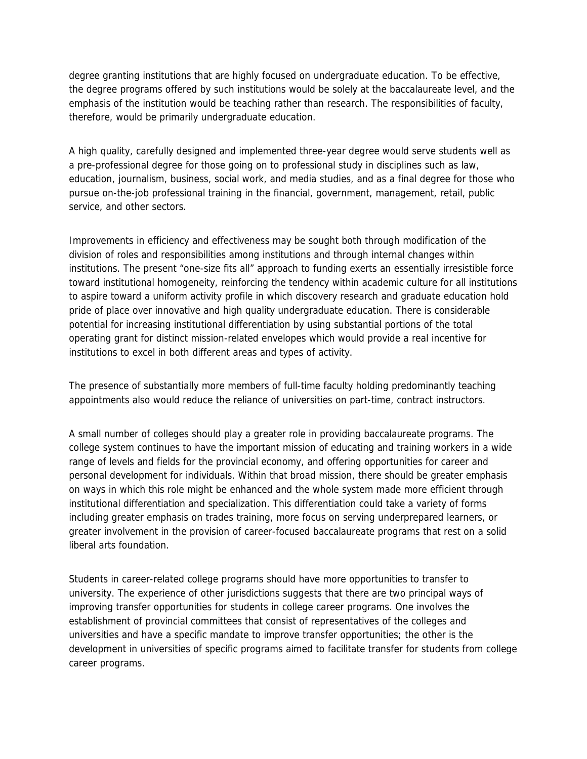degree granting institutions that are highly focused on undergraduate education. To be effective, the degree programs offered by such institutions would be solely at the baccalaureate level, and the emphasis of the institution would be teaching rather than research. The responsibilities of faculty, therefore, would be primarily undergraduate education.

A high quality, carefully designed and implemented three-year degree would serve students well as a pre-professional degree for those going on to professional study in disciplines such as law, education, journalism, business, social work, and media studies, and as a final degree for those who pursue on-the-job professional training in the financial, government, management, retail, public service, and other sectors.

Improvements in efficiency and effectiveness may be sought both through modification of the division of roles and responsibilities among institutions and through internal changes within institutions. The present "one-size fits all" approach to funding exerts an essentially irresistible force toward institutional homogeneity, reinforcing the tendency within academic culture for all institutions to aspire toward a uniform activity profile in which discovery research and graduate education hold pride of place over innovative and high quality undergraduate education. There is considerable potential for increasing institutional differentiation by using substantial portions of the total operating grant for distinct mission-related envelopes which would provide a real incentive for institutions to excel in both different areas and types of activity.

The presence of substantially more members of full-time faculty holding predominantly teaching appointments also would reduce the reliance of universities on part-time, contract instructors.

A small number of colleges should play a greater role in providing baccalaureate programs. The college system continues to have the important mission of educating and training workers in a wide range of levels and fields for the provincial economy, and offering opportunities for career and personal development for individuals. Within that broad mission, there should be greater emphasis on ways in which this role might be enhanced and the whole system made more efficient through institutional differentiation and specialization. This differentiation could take a variety of forms including greater emphasis on trades training, more focus on serving underprepared learners, or greater involvement in the provision of career-focused baccalaureate programs that rest on a solid liberal arts foundation.

Students in career-related college programs should have more opportunities to transfer to university. The experience of other jurisdictions suggests that there are two principal ways of improving transfer opportunities for students in college career programs. One involves the establishment of provincial committees that consist of representatives of the colleges and universities and have a specific mandate to improve transfer opportunities; the other is the development in universities of specific programs aimed to facilitate transfer for students from college career programs.